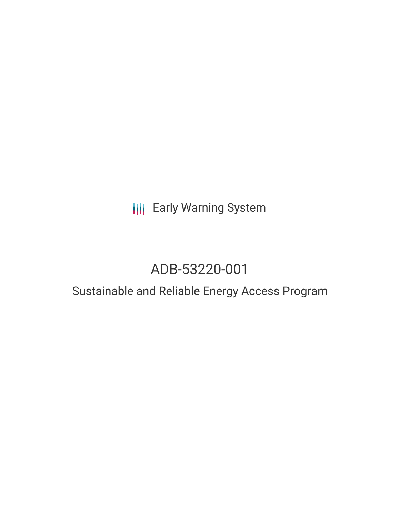## **III** Early Warning System

## ADB-53220-001

## Sustainable and Reliable Energy Access Program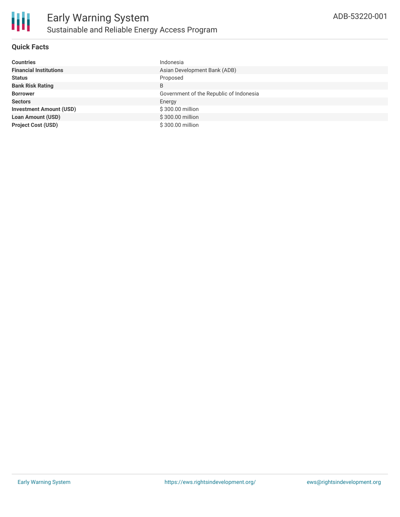

### **Quick Facts**

| <b>Countries</b>               | Indonesia                               |
|--------------------------------|-----------------------------------------|
| <b>Financial Institutions</b>  | Asian Development Bank (ADB)            |
| <b>Status</b>                  | Proposed                                |
| <b>Bank Risk Rating</b>        | B                                       |
| <b>Borrower</b>                | Government of the Republic of Indonesia |
| <b>Sectors</b>                 | Energy                                  |
| <b>Investment Amount (USD)</b> | \$300.00 million                        |
| <b>Loan Amount (USD)</b>       | \$300.00 million                        |
| <b>Project Cost (USD)</b>      | \$300.00 million                        |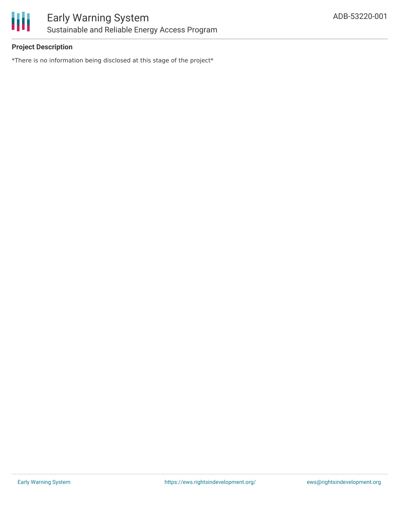

### **Project Description**

\*There is no information being disclosed at this stage of the project\*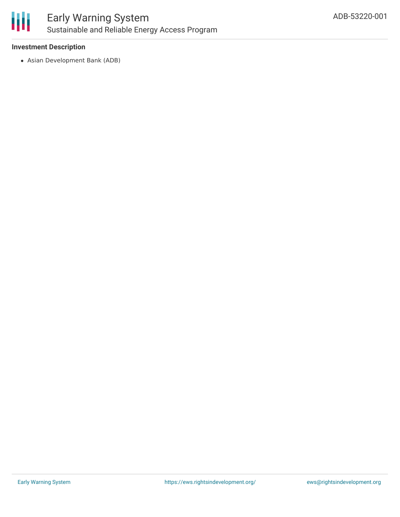

### **Investment Description**

Asian Development Bank (ADB)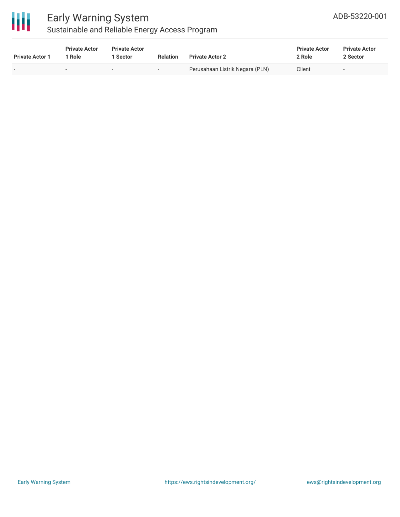

# Early Warning System

### ADB-53220-001

### Sustainable and Reliable Energy Access Program

| <b>Private Actor 1</b> | <b>Private Actor</b><br>Role | <b>Private Actor</b><br><b>Sector</b> | <b>Relation</b>          | <b>Private Actor 2</b>          | <b>Private Actor</b><br>2 Role | <b>Private Actor</b><br>2 Sector |  |
|------------------------|------------------------------|---------------------------------------|--------------------------|---------------------------------|--------------------------------|----------------------------------|--|
|                        |                              |                                       | $\overline{\phantom{0}}$ | Perusahaan Listrik Negara (PLN) | Client                         |                                  |  |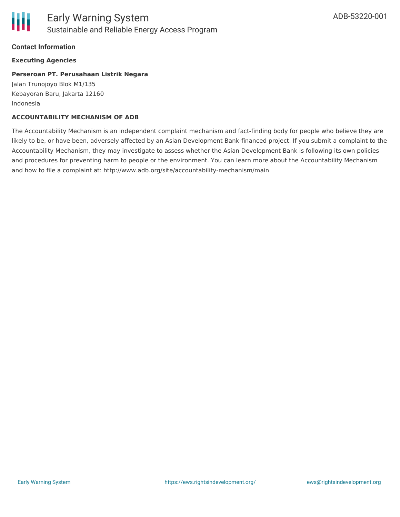

### **Contact Information**

### **Executing Agencies**

### **Perseroan PT. Perusahaan Listrik Negara**

Jalan Trunojoyo Blok M1/135 Kebayoran Baru, Jakarta 12160 Indonesia

#### **ACCOUNTABILITY MECHANISM OF ADB**

The Accountability Mechanism is an independent complaint mechanism and fact-finding body for people who believe they are likely to be, or have been, adversely affected by an Asian Development Bank-financed project. If you submit a complaint to the Accountability Mechanism, they may investigate to assess whether the Asian Development Bank is following its own policies and procedures for preventing harm to people or the environment. You can learn more about the Accountability Mechanism and how to file a complaint at: http://www.adb.org/site/accountability-mechanism/main